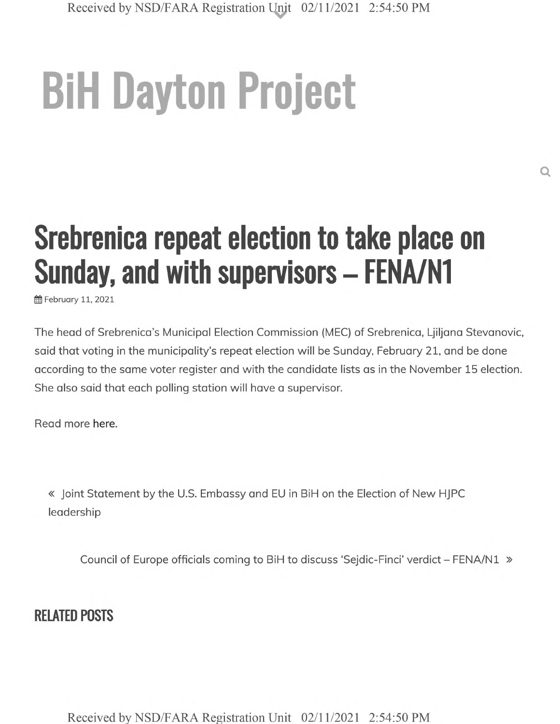## **BiH Dayton Project**

## **Srebrenica repeat election to take place on Sunday, and with supervisors - FENA/N1**

ff February 11, 2021

The head of Srebrenica's Municipal Election Commission (MEC) of Srebrenica, Ljiljana Stevanovic, said that voting in the municipality's repeat election will be Sunday, February 21, and be done according to the same voter register and with the candidate lists as in the November 15 election. She also said that each polling station will have a supervisor.

Read more here.

« Joint Statement by the U.S. Embassy and EU in BiH on the Election of New HJPC leadership

Council of Europe officials coming to BiH to discuss 'Sejdic-Finci' verdict - FENA/N1 »

## **RELATED POSTS**

**Received by NSD/FARA Registration Unit 02/11/2021 2:54:50 PM**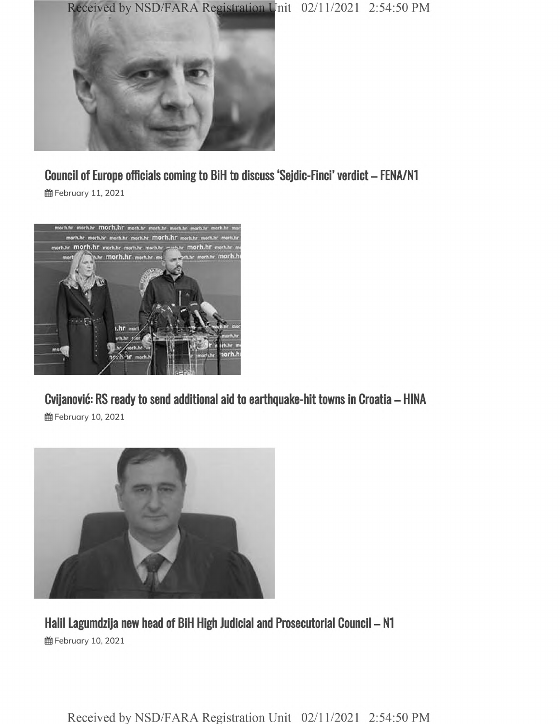



**Council of Europe officials coming to BiH to discuss 'Sejdic-Finci' verdict - FENA/N1**

**@** February 11, 2021



**Cvijanovic: RS ready to send additional aid to earthquake-hit towns in Croatia - HINA**

**曲 February 10, 2021** 



**Halil Lagumdzija new head of BiH High Judicial and Prosecutorial Council - N1 普February 10, 2021** 

**Received by NSD/FARA Registration Unit 02/11/2021 2:54:50 PM**